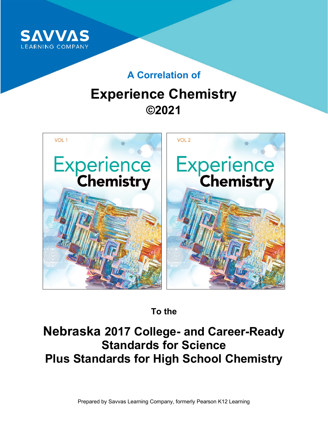

### **A Correlation of**

# **Experience Chemistry ©2021**



**To the**

## **Nebraska 2017 College- and Career-Ready Standards for Science Plus Standards for High School Chemistry**

Prepared by Savvas Learning Company, formerly Pearson K12 Learning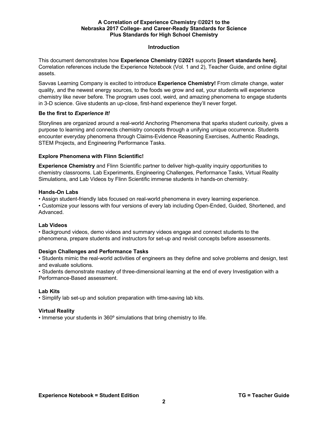#### **Introduction**

This document demonstrates how **Experience Chemistry ©2021** supports **[insert standards here].** Correlation references include the Experience Notebook (Vol. 1 and 2), Teacher Guide, and online digital assets.

Savvas Learning Company is excited to introduce **Experience Chemistry!** From climate change, water quality, and the newest energy sources, to the foods we grow and eat, your students will experience chemistry like never before. The program uses cool, weird, and amazing phenomena to engage students in 3-D science. Give students an up-close, first-hand experience they'll never forget.

#### **Be the first to** *Experience It!*

Storylines are organized around a real-world Anchoring Phenomena that sparks student curiosity, gives a purpose to learning and connects chemistry concepts through a unifying unique occurrence. Students encounter everyday phenomena through Claims-Evidence Reasoning Exercises, Authentic Readings, STEM Projects, and Engineering Performance Tasks.

#### **Explore Phenomena with Flinn Scientific!**

**Experience Chemistry** and Flinn Scientific partner to deliver high-quality inquiry opportunities to chemistry classrooms. Lab Experiments, Engineering Challenges, Performance Tasks, Virtual Reality Simulations, and Lab Videos by Flinn Scientific immerse students in hands-on chemistry.

#### **Hands-On Labs**

• Assign student-friendly labs focused on real-world phenomena in every learning experience.

• Customize your lessons with four versions of every lab including Open-Ended, Guided, Shortened, and Advanced.

#### **Lab Videos**

• Background videos, demo videos and summary videos engage and connect students to the phenomena, prepare students and instructors for set-up and revisit concepts before assessments.

#### **Design Challenges and Performance Tasks**

• Students mimic the real-world activities of engineers as they define and solve problems and design, test and evaluate solutions.

• Students demonstrate mastery of three-dimensional learning at the end of every Investigation with a Performance-Based assessment.

#### **Lab Kits**

• Simplify lab set-up and solution preparation with time-saving lab kits.

#### **Virtual Reality**

• Immerse your students in 360º simulations that bring chemistry to life.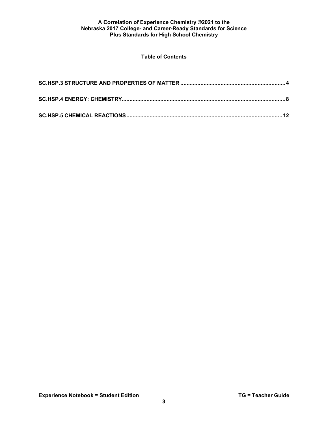#### **Table of Contents**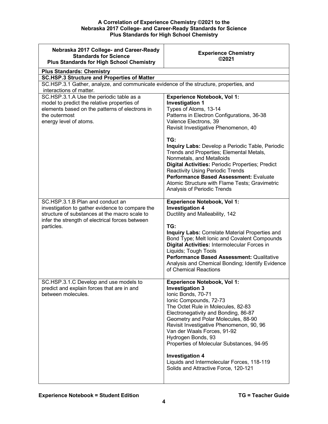<span id="page-3-0"></span>

| Nebraska 2017 College- and Career-Ready<br><b>Standards for Science</b><br><b>Plus Standards for High School Chemistry</b>                                                                            | <b>Experience Chemistry</b><br>©2021                                                                                                                                                                                                                                                                                                                                                                                                                                                                                                                               |
|-------------------------------------------------------------------------------------------------------------------------------------------------------------------------------------------------------|--------------------------------------------------------------------------------------------------------------------------------------------------------------------------------------------------------------------------------------------------------------------------------------------------------------------------------------------------------------------------------------------------------------------------------------------------------------------------------------------------------------------------------------------------------------------|
| <b>Plus Standards: Chemistry</b>                                                                                                                                                                      |                                                                                                                                                                                                                                                                                                                                                                                                                                                                                                                                                                    |
| <b>SC.HSP.3 Structure and Properties of Matter</b>                                                                                                                                                    |                                                                                                                                                                                                                                                                                                                                                                                                                                                                                                                                                                    |
| SC.HSP.3.1 Gather, analyze, and communicate evidence of the structure, properties, and<br>interactions of matter.                                                                                     |                                                                                                                                                                                                                                                                                                                                                                                                                                                                                                                                                                    |
| SC.HSP.3.1.A Use the periodic table as a<br>model to predict the relative properties of<br>elements based on the patterns of electrons in<br>the outermost<br>energy level of atoms.                  | <b>Experience Notebook, Vol 1:</b><br><b>Investigation 1</b><br>Types of Atoms, 13-14<br>Patterns in Electron Configurations, 36-38<br>Valence Electrons, 39<br>Revisit Investigative Phenomenon, 40<br>TG:<br>Inquiry Labs: Develop a Periodic Table, Periodic<br>Trends and Properties; Elemental Metals,<br>Nonmetals, and Metalloids<br>Digital Activities: Periodic Properties; Predict<br><b>Reactivity Using Periodic Trends</b><br>Performance Based Assessment: Evaluate<br>Atomic Structure with Flame Tests; Gravimetric<br>Analysis of Periodic Trends |
| SC.HSP.3.1.B Plan and conduct an<br>investigation to gather evidence to compare the<br>structure of substances at the macro scale to<br>infer the strength of electrical forces between<br>particles. | <b>Experience Notebook, Vol 1:</b><br><b>Investigation 4</b><br>Ductility and Malleability, 142<br>TG:<br>Inquiry Labs: Correlate Material Properties and<br>Bond Type; Melt Ionic and Covalent Compounds<br>Digital Activities: Intermolecular Forces in<br>Liquids; Tough Tools<br>Performance Based Assessment: Qualitative<br>Analysis and Chemical Bonding; Identify Evidence<br>of Chemical Reactions                                                                                                                                                        |
| SC.HSP.3.1.C Develop and use models to<br>predict and explain forces that are in and<br>between molecules.                                                                                            | <b>Experience Notebook, Vol 1:</b><br><b>Investigation 3</b><br>Ionic Bonds, 70-71<br>Ionic Compounds, 72-73<br>The Octet Rule in Molecules, 82-83<br>Electronegativity and Bonding, 86-87<br>Geometry and Polar Molecules, 88-90<br>Revisit Investigative Phenomenon, 90, 96<br>Van der Waals Forces, 91-92<br>Hydrogen Bonds, 93<br>Properties of Molecular Substances, 94-95<br><b>Investigation 4</b><br>Liquids and Intermolecular Forces, 118-119<br>Solids and Attractive Force, 120-121                                                                    |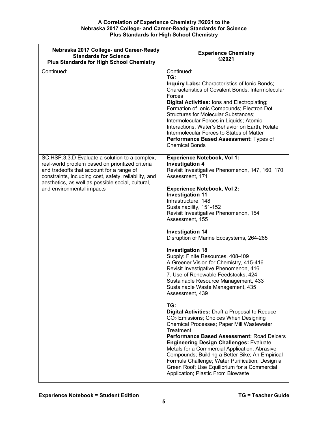| Nebraska 2017 College- and Career-Ready<br><b>Standards for Science</b><br><b>Plus Standards for High School Chemistry</b>                                                                                                                                                                 | <b>Experience Chemistry</b><br>©2021                                                                                                                                                                                                                                                                                                                                                                                                                                                                                                                                                                                                                                                                                                                                                                                                                                                                                                                                                                                                                                                                                                                                                                            |
|--------------------------------------------------------------------------------------------------------------------------------------------------------------------------------------------------------------------------------------------------------------------------------------------|-----------------------------------------------------------------------------------------------------------------------------------------------------------------------------------------------------------------------------------------------------------------------------------------------------------------------------------------------------------------------------------------------------------------------------------------------------------------------------------------------------------------------------------------------------------------------------------------------------------------------------------------------------------------------------------------------------------------------------------------------------------------------------------------------------------------------------------------------------------------------------------------------------------------------------------------------------------------------------------------------------------------------------------------------------------------------------------------------------------------------------------------------------------------------------------------------------------------|
| Continued:                                                                                                                                                                                                                                                                                 | Continued:<br>TG:<br>Inquiry Labs: Characteristics of Ionic Bonds;<br>Characteristics of Covalent Bonds; Intermolecular<br>Forces<br>Digital Activities: lons and Electroplating;<br>Formation of Ionic Compounds; Electron Dot<br><b>Structures for Molecular Substances;</b><br>Intermolecular Forces in Liquids; Atomic<br>Interactions; Water's Behavior on Earth; Relate<br>Intermolecular Forces to States of Matter<br>Performance Based Assessment: Types of<br><b>Chemical Bonds</b>                                                                                                                                                                                                                                                                                                                                                                                                                                                                                                                                                                                                                                                                                                                   |
| SC.HSP.3.3.D Evaluate a solution to a complex,<br>real-world problem based on prioritized criteria<br>and tradeoffs that account for a range of<br>constraints, including cost, safety, reliability, and<br>aesthetics, as well as possible social, cultural,<br>and environmental impacts | <b>Experience Notebook, Vol 1:</b><br><b>Investigation 4</b><br>Revisit Investigative Phenomenon, 147, 160, 170<br>Assessment, 171<br><b>Experience Notebook, Vol 2:</b><br><b>Investigation 11</b><br>Infrastructure, 148<br>Sustainability, 151-152<br>Revisit Investigative Phenomenon, 154<br>Assessment, 155<br><b>Investigation 14</b><br>Disruption of Marine Ecosystems, 264-265<br><b>Investigation 18</b><br>Supply: Finite Resources, 408-409<br>A Greener Vision for Chemistry, 415-416<br>Revisit Investigative Phenomenon, 416<br>7. Use of Renewable Feedstocks, 424<br>Sustainable Resource Management, 433<br>Sustainable Waste Management, 435<br>Assessment, 439<br>TG:<br>Digital Activities: Draft a Proposal to Reduce<br>CO <sub>2</sub> Emissions; Choices When Designing<br>Chemical Processes; Paper Mill Wastewater<br>Treatment<br><b>Performance Based Assessment: Road Deicers</b><br><b>Engineering Design Challenges: Evaluate</b><br>Metals for a Commercial Application; Abrasive<br>Compounds; Building a Better Bike; An Empirical<br>Formula Challenge; Water Purification; Design a<br>Green Roof; Use Equilibrium for a Commercial<br>Application; Plastic From Biowaste |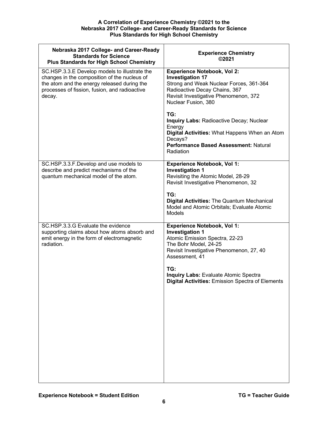| Nebraska 2017 College- and Career-Ready<br><b>Standards for Science</b><br><b>Plus Standards for High School Chemistry</b>                                                                              | <b>Experience Chemistry</b><br>©2021                                                                                                                                                                                                                                                                    |
|---------------------------------------------------------------------------------------------------------------------------------------------------------------------------------------------------------|---------------------------------------------------------------------------------------------------------------------------------------------------------------------------------------------------------------------------------------------------------------------------------------------------------|
| SC.HSP.3.3.E Develop models to illustrate the<br>changes in the composition of the nucleus of<br>the atom and the energy released during the<br>processes of fission, fusion, and radioactive<br>decay. | <b>Experience Notebook, Vol 2:</b><br><b>Investigation 17</b><br>Strong and Weak Nuclear Forces, 361-364<br>Radioactive Decay Chains, 367<br>Revisit Investigative Phenomenon, 372<br>Nuclear Fusion, 380                                                                                               |
|                                                                                                                                                                                                         | TG:<br>Inquiry Labs: Radioactive Decay; Nuclear<br>Energy<br>Digital Activities: What Happens When an Atom<br>Decays?<br>Performance Based Assessment: Natural<br>Radiation                                                                                                                             |
| SC.HSP.3.3.F.Develop and use models to<br>describe and predict mechanisms of the<br>quantum mechanical model of the atom.                                                                               | <b>Experience Notebook, Vol 1:</b><br><b>Investigation 1</b><br>Revisiting the Atomic Model, 28-29<br>Revisit Investigative Phenomenon, 32<br>TG:<br><b>Digital Activities: The Quantum Mechanical</b>                                                                                                  |
|                                                                                                                                                                                                         | Model and Atomic Orbitals; Evaluate Atomic<br><b>Models</b>                                                                                                                                                                                                                                             |
| SC.HSP.3.3.G Evaluate the evidence<br>supporting claims about how atoms absorb and<br>emit energy in the form of electromagnetic<br>radiation.                                                          | <b>Experience Notebook, Vol 1:</b><br><b>Investigation 1</b><br>Atomic Emission Spectra, 22-23<br>The Bohr Model, 24-25<br>Revisit Investigative Phenomenon, 27, 40<br>Assessment, 41<br>TG:<br><b>Inquiry Labs: Evaluate Atomic Spectra</b><br><b>Digital Activities: Emission Spectra of Elements</b> |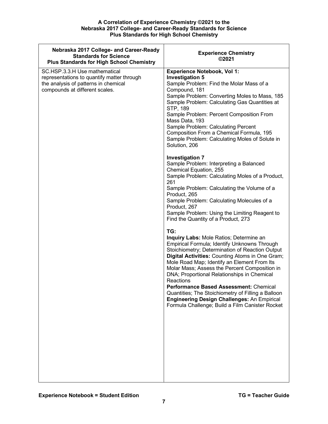| Nebraska 2017 College- and Career-Ready<br><b>Standards for Science</b><br><b>Plus Standards for High School Chemistry</b>                            | <b>Experience Chemistry</b><br>©2021                                                                                                                                                                                                                                                                                                                                                                                                                                                                                                                                      |
|-------------------------------------------------------------------------------------------------------------------------------------------------------|---------------------------------------------------------------------------------------------------------------------------------------------------------------------------------------------------------------------------------------------------------------------------------------------------------------------------------------------------------------------------------------------------------------------------------------------------------------------------------------------------------------------------------------------------------------------------|
| SC.HSP.3.3.H Use mathematical<br>representations to quantify matter through<br>the analysis of patterns in chemical<br>compounds at different scales. | <b>Experience Notebook, Vol 1:</b><br><b>Investigation 5</b><br>Sample Problem: Find the Molar Mass of a<br>Compound, 181<br>Sample Problem: Converting Moles to Mass, 185<br>Sample Problem: Calculating Gas Quantities at<br>STP, 189<br>Sample Problem: Percent Composition From<br>Mass Data, 193<br>Sample Problem: Calculating Percent<br>Composition From a Chemical Formula, 195<br>Sample Problem: Calculating Moles of Solute in<br>Solution, 206                                                                                                               |
|                                                                                                                                                       | <b>Investigation 7</b><br>Sample Problem: Interpreting a Balanced<br>Chemical Equation, 255<br>Sample Problem: Calculating Moles of a Product,<br>261<br>Sample Problem: Calculating the Volume of a<br>Product, 265<br>Sample Problem: Calculating Molecules of a<br>Product, 267<br>Sample Problem: Using the Limiting Reagent to<br>Find the Quantity of a Product, 273                                                                                                                                                                                                |
|                                                                                                                                                       | TG:<br>Inquiry Labs: Mole Ratios; Determine an<br>Empirical Formula; Identify Unknowns Through<br>Stoichiometry; Determination of Reaction Output<br>Digital Activities: Counting Atoms in One Gram;<br>Mole Road Map; Identify an Element From Its<br>Molar Mass; Assess the Percent Composition in<br>DNA; Proportional Relationships in Chemical<br>Reactions<br>Performance Based Assessment: Chemical<br>Quantities; The Stoichiometry of Filling a Balloon<br><b>Engineering Design Challenges: An Empirical</b><br>Formula Challenge; Build a Film Canister Rocket |
|                                                                                                                                                       |                                                                                                                                                                                                                                                                                                                                                                                                                                                                                                                                                                           |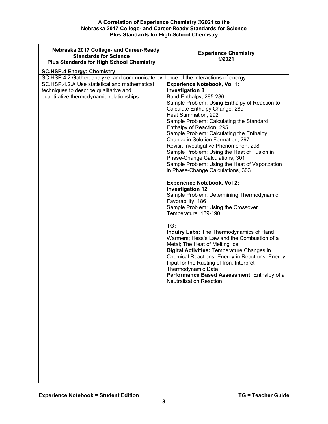<span id="page-7-0"></span>

| Nebraska 2017 College- and Career-Ready<br><b>Standards for Science</b><br><b>Plus Standards for High School Chemistry</b> | <b>Experience Chemistry</b><br>©2021                                            |
|----------------------------------------------------------------------------------------------------------------------------|---------------------------------------------------------------------------------|
| <b>SC.HSP.4 Energy: Chemistry</b>                                                                                          |                                                                                 |
| SC.HSP.4.2 Gather, analyze, and communicate evidence of the interactions of energy.                                        |                                                                                 |
| SC.HSP.4.2.A Use statistical and mathematical                                                                              | <b>Experience Notebook, Vol 1:</b>                                              |
| techniques to describe qualitative and                                                                                     | <b>Investigation 8</b>                                                          |
| quantitative thermodynamic relationships.                                                                                  | Bond Enthalpy, 285-286                                                          |
|                                                                                                                            | Sample Problem: Using Enthalpy of Reaction to<br>Calculate Enthalpy Change, 289 |
|                                                                                                                            | Heat Summation, 292                                                             |
|                                                                                                                            | Sample Problem: Calculating the Standard                                        |
|                                                                                                                            | Enthalpy of Reaction, 295                                                       |
|                                                                                                                            | Sample Problem: Calculating the Enthalpy                                        |
|                                                                                                                            | Change in Solution Formation, 297<br>Revisit Investigative Phenomenon, 298      |
|                                                                                                                            | Sample Problem: Using the Heat of Fusion in                                     |
|                                                                                                                            | Phase-Change Calculations, 301                                                  |
|                                                                                                                            | Sample Problem: Using the Heat of Vaporization                                  |
|                                                                                                                            | in Phase-Change Calculations, 303                                               |
|                                                                                                                            | <b>Experience Notebook, Vol 2:</b>                                              |
|                                                                                                                            | <b>Investigation 12</b>                                                         |
|                                                                                                                            | Sample Problem: Determining Thermodynamic                                       |
|                                                                                                                            | Favorability, 186                                                               |
|                                                                                                                            | Sample Problem: Using the Crossover                                             |
|                                                                                                                            | Temperature, 189-190                                                            |
|                                                                                                                            | TG:                                                                             |
|                                                                                                                            | Inquiry Labs: The Thermodynamics of Hand                                        |
|                                                                                                                            | Warmers; Hess's Law and the Combustion of a                                     |
|                                                                                                                            | Metal; The Heat of Melting Ice<br>Digital Activities: Temperature Changes in    |
|                                                                                                                            | Chemical Reactions; Energy in Reactions; Energy                                 |
|                                                                                                                            | Input for the Rusting of Iron; Interpret                                        |
|                                                                                                                            | Thermodynamic Data                                                              |
|                                                                                                                            | Performance Based Assessment: Enthalpy of a<br><b>Neutralization Reaction</b>   |
|                                                                                                                            |                                                                                 |
|                                                                                                                            |                                                                                 |
|                                                                                                                            |                                                                                 |
|                                                                                                                            |                                                                                 |
|                                                                                                                            |                                                                                 |
|                                                                                                                            |                                                                                 |
|                                                                                                                            |                                                                                 |
|                                                                                                                            |                                                                                 |
|                                                                                                                            |                                                                                 |
|                                                                                                                            |                                                                                 |
|                                                                                                                            |                                                                                 |
|                                                                                                                            |                                                                                 |
|                                                                                                                            |                                                                                 |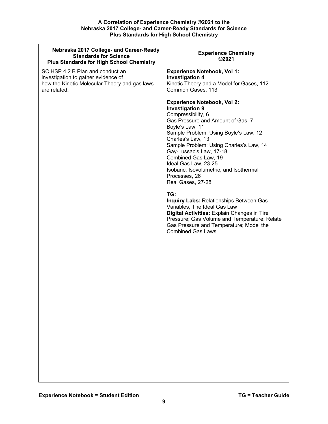| Nebraska 2017 College- and Career-Ready<br><b>Standards for Science</b><br><b>Plus Standards for High School Chemistry</b>               | <b>Experience Chemistry</b><br>©2021                                                                                                                                                                                                                                                                                                                                                                                                                                                                                                                                                                                                                                                  |
|------------------------------------------------------------------------------------------------------------------------------------------|---------------------------------------------------------------------------------------------------------------------------------------------------------------------------------------------------------------------------------------------------------------------------------------------------------------------------------------------------------------------------------------------------------------------------------------------------------------------------------------------------------------------------------------------------------------------------------------------------------------------------------------------------------------------------------------|
| SC.HSP.4.2.B Plan and conduct an<br>investigation to gather evidence of<br>how the Kinetic Molecular Theory and gas laws<br>are related. | <b>Experience Notebook, Vol 1:</b><br><b>Investigation 4</b><br>Kinetic Theory and a Model for Gases, 112<br>Common Gases, 113                                                                                                                                                                                                                                                                                                                                                                                                                                                                                                                                                        |
|                                                                                                                                          | <b>Experience Notebook, Vol 2:</b><br><b>Investigation 9</b><br>Compressibility, 6<br>Gas Pressure and Amount of Gas, 7<br>Boyle's Law, 11<br>Sample Problem: Using Boyle's Law, 12<br>Charles's Law, 13<br>Sample Problem: Using Charles's Law, 14<br>Gay-Lussac's Law, 17-18<br>Combined Gas Law, 19<br>Ideal Gas Law, 23-25<br>Isobaric, Isovolumetric, and Isothermal<br>Processes, 26<br>Real Gases, 27-28<br>TG:<br><b>Inquiry Labs: Relationships Between Gas</b><br>Variables; The Ideal Gas Law<br><b>Digital Activities: Explain Changes in Tire</b><br>Pressure; Gas Volume and Temperature; Relate<br>Gas Pressure and Temperature; Model the<br><b>Combined Gas Laws</b> |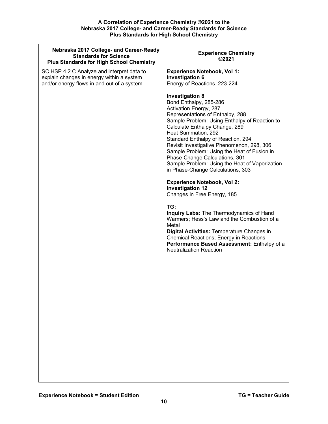| Nebraska 2017 College- and Career-Ready<br><b>Standards for Science</b><br><b>Plus Standards for High School Chemistry</b> | <b>Experience Chemistry</b><br>©2021                                                                                                                                                                                                                                                                                                                                                                                                                                                                                                                                                                                        |
|----------------------------------------------------------------------------------------------------------------------------|-----------------------------------------------------------------------------------------------------------------------------------------------------------------------------------------------------------------------------------------------------------------------------------------------------------------------------------------------------------------------------------------------------------------------------------------------------------------------------------------------------------------------------------------------------------------------------------------------------------------------------|
| SC.HSP.4.2.C Analyze and interpret data to                                                                                 | <b>Experience Notebook, Vol 1:</b>                                                                                                                                                                                                                                                                                                                                                                                                                                                                                                                                                                                          |
| explain changes in energy within a system                                                                                  | <b>Investigation 6</b>                                                                                                                                                                                                                                                                                                                                                                                                                                                                                                                                                                                                      |
|                                                                                                                            |                                                                                                                                                                                                                                                                                                                                                                                                                                                                                                                                                                                                                             |
|                                                                                                                            |                                                                                                                                                                                                                                                                                                                                                                                                                                                                                                                                                                                                                             |
| and/or energy flows in and out of a system.                                                                                | Energy of Reactions, 223-224<br><b>Investigation 8</b><br>Bond Enthalpy, 285-286<br>Activation Energy, 287<br>Representations of Enthalpy, 288<br>Sample Problem: Using Enthalpy of Reaction to<br>Calculate Enthalpy Change, 289<br>Heat Summation, 292<br>Standard Enthalpy of Reaction, 294<br>Revisit Investigative Phenomenon, 298, 306<br>Sample Problem: Using the Heat of Fusion in<br>Phase-Change Calculations, 301<br>Sample Problem: Using the Heat of Vaporization<br>in Phase-Change Calculations, 303<br><b>Experience Notebook, Vol 2:</b><br><b>Investigation 12</b><br>Changes in Free Energy, 185<br>TG: |
|                                                                                                                            | Inquiry Labs: The Thermodynamics of Hand<br>Warmers; Hess's Law and the Combustion of a<br>Metal<br>Digital Activities: Temperature Changes in<br><b>Chemical Reactions; Energy in Reactions</b><br>Performance Based Assessment: Enthalpy of a<br><b>Neutralization Reaction</b>                                                                                                                                                                                                                                                                                                                                           |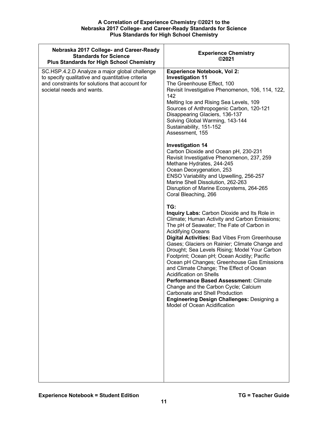| Nebraska 2017 College- and Career-Ready<br><b>Standards for Science</b><br><b>Plus Standards for High School Chemistry</b>                                                       | <b>Experience Chemistry</b><br>©2021                                                                                                                                                                                                                                                                                                                                                                                                                                                                                                                                                                                                                                                                                       |
|----------------------------------------------------------------------------------------------------------------------------------------------------------------------------------|----------------------------------------------------------------------------------------------------------------------------------------------------------------------------------------------------------------------------------------------------------------------------------------------------------------------------------------------------------------------------------------------------------------------------------------------------------------------------------------------------------------------------------------------------------------------------------------------------------------------------------------------------------------------------------------------------------------------------|
| SC.HSP.4.2.D Analyze a major global challenge<br>to specify qualitative and quantitative criteria<br>and constraints for solutions that account for<br>societal needs and wants. | <b>Experience Notebook, Vol 2:</b><br><b>Investigation 11</b><br>The Greenhouse Effect, 100<br>Revisit Investigative Phenomenon, 106, 114, 122,<br>142<br>Melting Ice and Rising Sea Levels, 109<br>Sources of Anthropogenic Carbon, 120-121<br>Disappearing Glaciers, 136-137<br>Solving Global Warming, 143-144<br>Sustainability, 151-152<br>Assessment, 155                                                                                                                                                                                                                                                                                                                                                            |
|                                                                                                                                                                                  | <b>Investigation 14</b><br>Carbon Dioxide and Ocean pH, 230-231<br>Revisit Investigative Phenomenon, 237, 259<br>Methane Hydrates, 244-245<br>Ocean Deoxygenation, 253<br>ENSO Variability and Upwelling, 256-257<br>Marine Shell Dissolution, 262-263<br>Disruption of Marine Ecosystems, 264-265<br>Coral Bleaching, 266                                                                                                                                                                                                                                                                                                                                                                                                 |
|                                                                                                                                                                                  | TG:<br><b>Inquiry Labs: Carbon Dioxide and Its Role in</b><br>Climate; Human Activity and Carbon Emissions;<br>The pH of Seawater; The Fate of Carbon in<br><b>Acidifying Oceans</b><br>Digital Activities: Bad Vibes From Greenhouse<br>Gases; Glaciers on Rainier; Climate Change and<br>Drought; Sea Levels Rising; Model Your Carbon<br>Footprint; Ocean pH; Ocean Acidity; Pacific<br>Ocean pH Changes; Greenhouse Gas Emissions<br>and Climate Change; The Effect of Ocean<br><b>Acidification on Shells</b><br><b>Performance Based Assessment: Climate</b><br>Change and the Carbon Cycle; Calcium<br>Carbonate and Shell Production<br>Engineering Design Challenges: Designing a<br>Model of Ocean Acidification |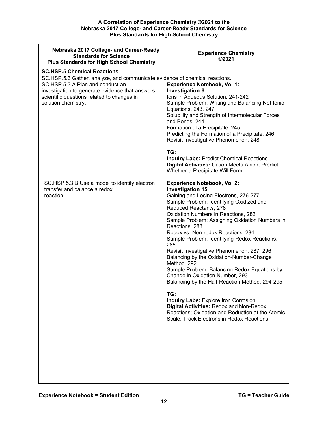<span id="page-11-0"></span>

| Nebraska 2017 College- and Career-Ready<br><b>Standards for Science</b><br><b>Plus Standards for High School Chemistry</b>                               | <b>Experience Chemistry</b><br>©2021                                                                                                                                                                                                                                                                                                                                                                                                                                                                                                                                                                                                                                                                                                                                                                                          |
|----------------------------------------------------------------------------------------------------------------------------------------------------------|-------------------------------------------------------------------------------------------------------------------------------------------------------------------------------------------------------------------------------------------------------------------------------------------------------------------------------------------------------------------------------------------------------------------------------------------------------------------------------------------------------------------------------------------------------------------------------------------------------------------------------------------------------------------------------------------------------------------------------------------------------------------------------------------------------------------------------|
| <b>SC.HSP.5 Chemical Reactions</b>                                                                                                                       |                                                                                                                                                                                                                                                                                                                                                                                                                                                                                                                                                                                                                                                                                                                                                                                                                               |
| SC.HSP.5.3 Gather, analyze, and communicate evidence of chemical reactions.                                                                              |                                                                                                                                                                                                                                                                                                                                                                                                                                                                                                                                                                                                                                                                                                                                                                                                                               |
| SC.HSP.5.3.A Plan and conduct an<br>investigation to generate evidence that answers<br>scientific questions related to changes in<br>solution chemistry. | <b>Experience Notebook, Vol 1:</b><br><b>Investigation 6</b><br>Ions in Aqueous Solution, 241-242<br>Sample Problem: Writing and Balancing Net Ionic<br>Equations, 243, 247<br>Solubility and Strength of Intermolecular Forces<br>and Bonds, 244<br>Formation of a Precipitate, 245<br>Predicting the Formation of a Precipitate, 246<br>Revisit Investigative Phenomenon, 248<br>TG:<br><b>Inquiry Labs: Predict Chemical Reactions</b><br>Digital Activities: Cation Meets Anion; Predict<br>Whether a Precipitate Will Form                                                                                                                                                                                                                                                                                               |
| SC.HSP.5.3.B Use a model to identify electron<br>transfer and balance a redox<br>reaction.                                                               | <b>Experience Notebook, Vol 2:</b><br><b>Investigation 15</b><br>Gaining and Losing Electrons, 276-277<br>Sample Problem: Identifying Oxidized and<br>Reduced Reactants, 278<br>Oxidation Numbers in Reactions, 282<br>Sample Problem: Assigning Oxidation Numbers in<br>Reactions, 283<br>Redox vs. Non-redox Reactions, 284<br>Sample Problem: Identifying Redox Reactions,<br>285<br>Revisit Investigative Phenomenon, 287, 296<br>Balancing by the Oxidation-Number-Change<br>Method, 292<br>Sample Problem: Balancing Redox Equations by<br>Change in Oxidation Number, 293<br>Balancing by the Half-Reaction Method, 294-295<br>TG:<br>Inquiry Labs: Explore Iron Corrosion<br>Digital Activities: Redox and Non-Redox<br>Reactions; Oxidation and Reduction at the Atomic<br>Scale; Track Electrons in Redox Reactions |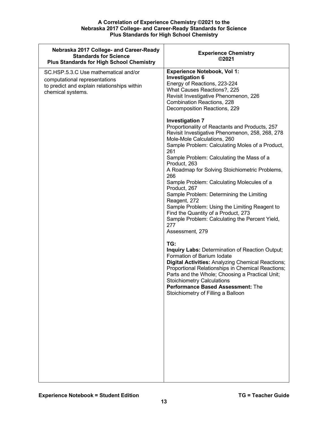| Nebraska 2017 College- and Career-Ready<br><b>Standards for Science</b><br><b>Plus Standards for High School Chemistry</b>                | <b>Experience Chemistry</b><br>©2021                                                                                                                                                                                                                                                                                                                                                                                                                                                                                                                                                                                                                                                                                                                               |
|-------------------------------------------------------------------------------------------------------------------------------------------|--------------------------------------------------------------------------------------------------------------------------------------------------------------------------------------------------------------------------------------------------------------------------------------------------------------------------------------------------------------------------------------------------------------------------------------------------------------------------------------------------------------------------------------------------------------------------------------------------------------------------------------------------------------------------------------------------------------------------------------------------------------------|
| SC.HSP.5.3.C Use mathematical and/or<br>computational representations<br>to predict and explain relationships within<br>chemical systems. | <b>Experience Notebook, Vol 1:</b><br><b>Investigation 6</b><br>Energy of Reactions, 223-224<br>What Causes Reactions?, 225<br>Revisit Investigative Phenomenon, 226<br><b>Combination Reactions, 228</b><br>Decomposition Reactions, 229<br><b>Investigation 7</b><br>Proportionality of Reactants and Products, 257<br>Revisit Investigative Phenomenon, 258, 268, 278<br>Mole-Mole Calculations, 260<br>Sample Problem: Calculating Moles of a Product,<br>261<br>Sample Problem: Calculating the Mass of a<br>Product, 263<br>A Roadmap for Solving Stoichiometric Problems,<br>266<br>Sample Problem: Calculating Molecules of a<br>Product, 267<br>Sample Problem: Determining the Limiting<br>Reagent, 272<br>Sample Problem: Using the Limiting Reagent to |
|                                                                                                                                           | Find the Quantity of a Product, 273<br>Sample Problem: Calculating the Percent Yield,<br>277<br>Assessment, 279<br>TG:<br>Inquiry Labs: Determination of Reaction Output;<br>Formation of Barium Iodate<br>Digital Activities: Analyzing Chemical Reactions;<br>Proportional Relationships in Chemical Reactions;<br>Parts and the Whole; Choosing a Practical Unit;<br><b>Stoichiometry Calculations</b><br><b>Performance Based Assessment: The</b><br>Stoichiometry of Filling a Balloon                                                                                                                                                                                                                                                                        |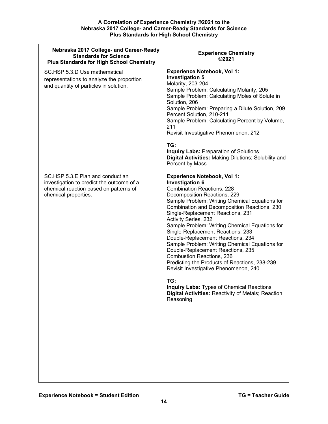| Nebraska 2017 College- and Career-Ready<br><b>Standards for Science</b><br><b>Plus Standards for High School Chemistry</b>                      | <b>Experience Chemistry</b><br>©2021                                                                                                                                                                                                                                                                                                                                                                                                                                                                                                                                                                                                                                                                                                                                            |
|-------------------------------------------------------------------------------------------------------------------------------------------------|---------------------------------------------------------------------------------------------------------------------------------------------------------------------------------------------------------------------------------------------------------------------------------------------------------------------------------------------------------------------------------------------------------------------------------------------------------------------------------------------------------------------------------------------------------------------------------------------------------------------------------------------------------------------------------------------------------------------------------------------------------------------------------|
| SC.HSP.5.3.D Use mathematical<br>representations to analyze the proportion<br>and quantity of particles in solution.                            | <b>Experience Notebook, Vol 1:</b><br><b>Investigation 5</b><br>Molarity, 203-204<br>Sample Problem: Calculating Molarity, 205<br>Sample Problem: Calculating Moles of Solute in<br>Solution, 206<br>Sample Problem: Preparing a Dilute Solution, 209<br>Percent Solution, 210-211<br>Sample Problem: Calculating Percent by Volume,<br>211<br>Revisit Investigative Phenomenon, 212<br>TG:<br><b>Inquiry Labs: Preparation of Solutions</b><br>Digital Activities: Making Dilutions; Solubility and<br>Percent by Mass                                                                                                                                                                                                                                                         |
| SC.HSP.5.3.E Plan and conduct an<br>investigation to predict the outcome of a<br>chemical reaction based on patterns of<br>chemical properties. | <b>Experience Notebook, Vol 1:</b><br><b>Investigation 6</b><br><b>Combination Reactions, 228</b><br>Decomposition Reactions, 229<br>Sample Problem: Writing Chemical Equations for<br>Combination and Decomposition Reactions, 230<br>Single-Replacement Reactions, 231<br><b>Activity Series, 232</b><br>Sample Problem: Writing Chemical Equations for<br>Single-Replacement Reactions, 233<br>Double-Replacement Reactions, 234<br>Sample Problem: Writing Chemical Equations for<br>Double-Replacement Reactions, 235<br>Combustion Reactions, 236<br>Predicting the Products of Reactions, 238-239<br>Revisit Investigative Phenomenon, 240<br>TG:<br><b>Inquiry Labs: Types of Chemical Reactions</b><br>Digital Activities: Reactivity of Metals; Reaction<br>Reasoning |